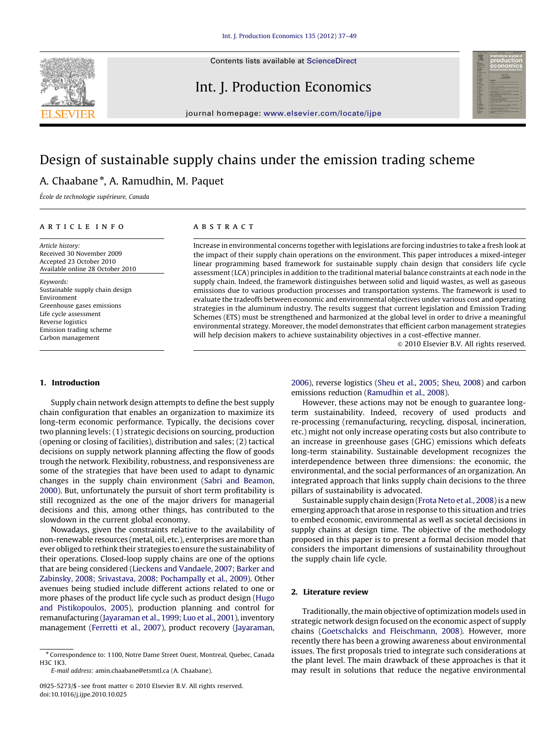

Contents lists available at ScienceDirect

# Int. J. Production Economics



journal homepage: <www.elsevier.com/locate/ijpe>

# Design of sustainable supply chains under the emission trading scheme

## A. Chaabane<sup>\*</sup>, A. Ramudhin, M. Paquet

École de technologie supérieure, Canada

#### article info

Article history: Received 30 November 2009 Accepted 23 October 2010 Available online 28 October 2010

Keywords: Sustainable supply chain design Environment Greenhouse gases emissions Life cycle assessment Reverse logistics Emission trading scheme Carbon management

## 1. Introduction

Supply chain network design attempts to define the best supply chain configuration that enables an organization to maximize its long-term economic performance. Typically, the decisions cover two planning levels: (1) strategic decisions on sourcing, production (opening or closing of facilities), distribution and sales; (2) tactical decisions on supply network planning affecting the flow of goods trough the network. Flexibility, robustness, and responsiveness are some of the strategies that have been used to adapt to dynamic changes in the supply chain environment [\(Sabri and Beamon,](#page--1-0) [2000\)](#page--1-0). But, unfortunately the pursuit of short term profitability is still recognized as the one of the major drivers for managerial decisions and this, among other things, has contributed to the slowdown in the current global economy.

Nowadays, given the constraints relative to the availability of non-renewable resources (metal, oil, etc.), enterprises are more than ever obliged to rethink their strategies to ensure the sustainability of their operations. Closed-loop supply chains are one of the options that are being considered ([Lieckens and Vandaele, 2007; Barker and](#page--1-0) [Zabinsky, 2008; Srivastava, 2008; Pochampally et al., 2009\)](#page--1-0). Other avenues being studied include different actions related to one or more phases of the product life cycle such as product design [\(Hugo](#page--1-0) [and Pistikopoulos, 2005](#page--1-0)), production planning and control for remanufacturing [\(Jayaraman et al., 1999; Luo et al., 2001\)](#page--1-0), inventory management [\(Ferretti et al., 2007](#page--1-0)), product recovery [\(Jayaraman,](#page--1-0)

### ABSTRACT

Increase in environmental concerns together with legislations are forcing industries to take a fresh look at the impact of their supply chain operations on the environment. This paper introduces a mixed-integer linear programming based framework for sustainable supply chain design that considers life cycle assessment (LCA) principles in addition to the traditional material balance constraints at each node in the supply chain. Indeed, the framework distinguishes between solid and liquid wastes, as well as gaseous emissions due to various production processes and transportation systems. The framework is used to evaluate the tradeoffs between economic and environmental objectives under various cost and operating strategies in the aluminum industry. The results suggest that current legislation and Emission Trading Schemes (ETS) must be strengthened and harmonized at the global level in order to drive a meaningful environmental strategy. Moreover, the model demonstrates that efficient carbon management strategies will help decision makers to achieve sustainability objectives in a cost-effective manner.

 $\odot$  2010 Elsevier B.V. All rights reserved.

[2006](#page--1-0)), reverse logistics [\(Sheu et al., 2005; Sheu, 2008](#page--1-0)) and carbon emissions reduction ([Ramudhin et al., 2008\)](#page--1-0).

However, these actions may not be enough to guarantee longterm sustainability. Indeed, recovery of used products and re-processing (remanufacturing, recycling, disposal, incineration, etc.) might not only increase operating costs but also contribute to an increase in greenhouse gases (GHG) emissions which defeats long-term stainability. Sustainable development recognizes the interdependence between three dimensions: the economic, the environmental, and the social performances of an organization. An integrated approach that links supply chain decisions to the three pillars of sustainability is advocated.

Sustainable supply chain design [\(Frota Neto et al., 2008](#page--1-0)) is a new emerging approach that arose in response to this situation and tries to embed economic, environmental as well as societal decisions in supply chains at design time. The objective of the methodology proposed in this paper is to present a formal decision model that considers the important dimensions of sustainability throughout the supply chain life cycle.

## 2. Literature review

Traditionally, the main objective of optimization models used in strategic network design focused on the economic aspect of supply chains ([Goetschalcks and Fleischmann, 2008\)](#page--1-0). However, more recently there has been a growing awareness about environmental issues. The first proposals tried to integrate such considerations at the plant level. The main drawback of these approaches is that it may result in solutions that reduce the negative environmental

<sup>n</sup> Correspondence to: 1100, Notre Dame Street Ouest, Montreal, Quebec, Canada H3C 1K3.

E-mail address: [amin.chaabane@etsmtl.ca \(A. Chaabane\).](mailto:amin.chaabane@etsmtl.ca)

<sup>0925-5273/\$ -</sup> see front matter @ 2010 Elsevier B.V. All rights reserved. doi:[10.1016/j.ijpe.2010.10.025](dx.doi.org/10.1016/j.ijpe.2010.10.025)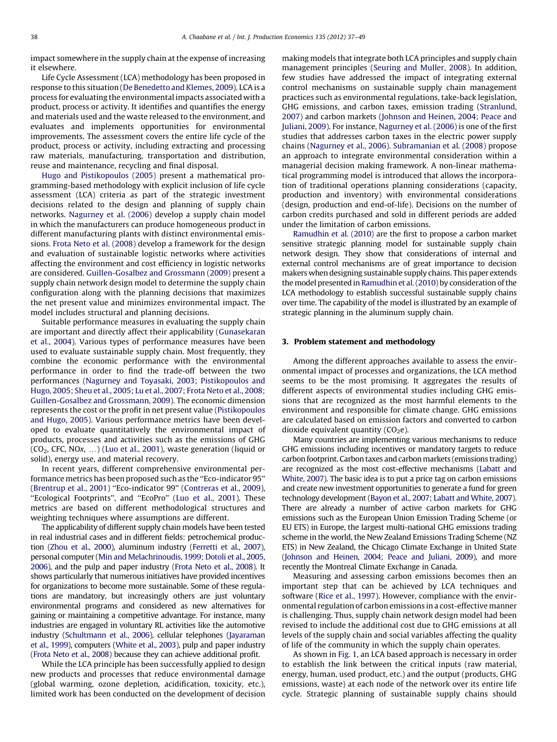impact somewhere in the supply chain at the expense of increasing it elsewhere.

Life Cycle Assessment (LCA) methodology has been proposed in response to this situation ([De Benedetto and Klemes, 2009](#page--1-0)). LCA is a process for evaluating the environmental impacts associated with a product, process or activity. It identifies and quantifies the energy and materials used and the waste released to the environment, and evaluates and implements opportunities for environmental improvements. The assessment covers the entire life cycle of the product, process or activity, including extracting and processing raw materials, manufacturing, transportation and distribution, reuse and maintenance, recycling and final disposal.

[Hugo and Pistikopoulos \(2005\)](#page--1-0) present a mathematical programming-based methodology with explicit inclusion of life cycle assessment (LCA) criteria as part of the strategic investment decisions related to the design and planning of supply chain networks. [Nagurney et al. \(2006\)](#page--1-0) develop a supply chain model in which the manufacturers can produce homogeneous product in different manufacturing plants with distinct environmental emissions. [Frota Neto et al. \(2008\)](#page--1-0) develop a framework for the design and evaluation of sustainable logistic networks where activities affecting the environment and cost efficiency in logistic networks are considered. [Guillen-Gosalbez and Grossmann \(2009\)](#page--1-0) present a supply chain network design model to determine the supply chain configuration along with the planning decisions that maximizes the net present value and minimizes environmental impact. The model includes structural and planning decisions.

Suitable performance measures in evaluating the supply chain are important and directly affect their applicability [\(Gunasekaran](#page--1-0) [et al., 2004\)](#page--1-0). Various types of performance measures have been used to evaluate sustainable supply chain. Most frequently, they combine the economic performance with the environmental performance in order to find the trade-off between the two performances ([Nagurney and Toyasaki, 2003; Pistikopoulos and](#page--1-0) [Hugo, 2005; Sheu et al., 2005; Lu et al., 2007; Frota Neto et al., 2008;](#page--1-0) [Guillen-Gosalbez and Grossmann, 2009](#page--1-0)). The economic dimension represents the cost or the profit in net present value ([Pistikopoulos](#page--1-0) [and Hugo, 2005](#page--1-0)). Various performance metrics have been developed to evaluate quantitatively the environmental impact of products, processes and activities such as the emissions of GHG  $(CO<sub>2</sub>, CFC, NO<sub>X</sub>, ...)$  [\(Luo et al., 2001](#page--1-0)), waste generation (liquid or solid), energy use, and material recovery.

In recent years, different comprehensive environmental performance metrics has been proposed such as the ''Eco-indicator 95'' ([Brentrup et al., 2001\)](#page--1-0) ''Eco-indicator 99'' [\(Contreras et al., 2009\)](#page--1-0), "Ecological Footprints", and "EcoPro" [\(Luo et al., 2001](#page--1-0)). These metrics are based on different methodological structures and weighting techniques where assumptions are different.

The applicability of different supply chain models have been tested in real industrial cases and in different fields: petrochemical production [\(Zhou et al., 2000\)](#page--1-0), aluminum industry [\(Ferretti et al., 2007](#page--1-0)), personal computer [\(Min and Melachrinoudis, 1999; Dotoli et al., 2005,](#page--1-0) [2006\)](#page--1-0), and the pulp and paper industry [\(Frota Neto et al., 2008\)](#page--1-0). It shows particularly that numerous initiatives have provided incentives for organizations to become more sustainable. Some of these regulations are mandatory, but increasingly others are just voluntary environmental programs and considered as new alternatives for gaining or maintaining a competitive advantage. For instance, many industries are engaged in voluntary RL activities like the automotive industry ([Schultmann et al., 2006\)](#page--1-0), cellular telephones [\(Jayaraman](#page--1-0) [et al., 1999\)](#page--1-0), computers ([White et al., 2003](#page--1-0)), pulp and paper industry ([Frota Neto et al., 2008\)](#page--1-0) because they can achieve additional profit.

While the LCA principle has been successfully applied to design new products and processes that reduce environmental damage (global warming, ozone depletion, acidification, toxicity, etc.), limited work has been conducted on the development of decision

making models that integrate both LCA principles and supply chain management principles ([Seuring and Muller, 2008\)](#page--1-0). In addition, few studies have addressed the impact of integrating external control mechanisms on sustainable supply chain management practices such as environmental regulations, take-back legislation, GHG emissions, and carbon taxes, emission trading [\(Stranlund,](#page--1-0) [2007\)](#page--1-0) and carbon markets [\(Johnson and Heinen, 2004; Peace and](#page--1-0) [Juliani, 2009\)](#page--1-0). For instance, [Nagurney et al. \(2006\)](#page--1-0) is one of the first studies that addresses carbon taxes in the electric power supply chains ([Nagurney et al., 2006](#page--1-0)). [Subramanian et al. \(2008\)](#page--1-0) propose an approach to integrate environmental consideration within a managerial decision making framework. A non-linear mathematical programming model is introduced that allows the incorporation of traditional operations planning considerations (capacity, production and inventory) with environmental considerations (design, production and end-of-life). Decisions on the number of carbon credits purchased and sold in different periods are added under the limitation of carbon emissions.

[Ramudhin et al. \(2010\)](#page--1-0) are the first to propose a carbon market sensitive strategic planning model for sustainable supply chain network design. They show that considerations of internal and external control mechanisms are of great importance to decision makers when designing sustainable supply chains. This paper extends the model presented in [Ramudhin et al. \(2010\)](#page--1-0) by consideration of the LCA methodology to establish successful sustainable supply chains over time. The capability of the model is illustrated by an example of strategic planning in the aluminum supply chain.

#### 3. Problem statement and methodology

Among the different approaches available to assess the environmental impact of processes and organizations, the LCA method seems to be the most promising. It aggregates the results of different aspects of environmental studies including GHG emissions that are recognized as the most harmful elements to the environment and responsible for climate change. GHG emissions are calculated based on emission factors and converted to carbon dioxide equivalent quantity  $(CO<sub>2</sub>e)$ .

Many countries are implementing various mechanisms to reduce GHG emissions including incentives or mandatory targets to reduce carbon footprint. Carbon taxes and carbon markets (emissions trading) are recognized as the most cost-effective mechanisms ([Labatt and](#page--1-0) [White, 2007](#page--1-0)). The basic idea is to put a price tag on carbon emissions and create new investment opportunities to generate a fund for green technology development [\(Bayon et al., 2007; Labatt and White, 2007\)](#page--1-0). There are already a number of active carbon markets for GHG emissions such as the European Union Emission Trading Scheme (or EU ETS) in Europe, the largest multi-national GHG emissions trading scheme in the world, the New Zealand Emissions Trading Scheme (NZ ETS) in New Zealand, the Chicago Climate Exchange in United State ([Johnson and Heinen, 2004; Peace and Juliani, 2009\)](#page--1-0), and more recently the Montreal Climate Exchange in Canada.

Measuring and assessing carbon emissions becomes then an important step that can be achieved by LCA techniques and software ([Rice et al., 1997\)](#page--1-0). However, compliance with the environmental regulation of carbon emissions in a cost-effective manner is challenging. Thus, supply chain network design model had been revised to include the additional cost due to GHG emissions at all levels of the supply chain and social variables affecting the quality of life of the community in which the supply chain operates.

As shown in [Fig. 1,](#page--1-0) an LCA based approach is necessary in order to establish the link between the critical inputs (raw material, energy, human, used product, etc.) and the output (products, GHG emissions, waste) at each node of the network over its entire life cycle. Strategic planning of sustainable supply chains should